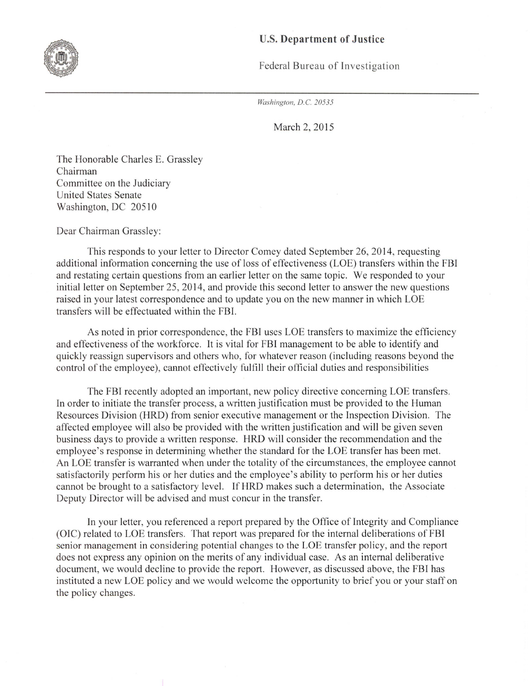## U.S. **Department of Justice**



Federal Bureau of Investigation

*Washington, D.C. 20535* 

March 2, 2015

The Honorable Charles E. Grassley Chairman Committee on the Judiciary United States Senate Washington, DC 20510

Dear Chairman Grassley:

This responds to your letter to Director Comey dated September 26, 2014, requesting additional information concerning the use of loss of effectiveness (LOE) transfers within the FBI and restating certain questions from an earlier letter on the same topic. We responded to your initial letter on September 25, 2014, and provide this second letter to answer the new questions raised in your latest correspondence and to update you on the new manner in which LOE transfers will be effectuated within the FBI.

As noted in prior correspondence, the FBI uses LOE transfers to maximize the efficiency and effectiveness of the workforce. It is vital for FBI management to be able to identify and quickly reassign supervisors and others who, for whatever reason (including reasons beyond the control of the employee), cannot effectively fulfill their official duties and responsibilities

The FBI recently adopted an important, new policy directive concerning LOE transfers. In order to initiate the transfer process, a written justification must be provided to the Human Resources Division (HRD) from senior executive management or the Inspection Division. The affected employee will also be provided with the written justification and will be given seven business days to provide a written response. HRD will consider the recommendation and the employee's response in determining whether the standard for the LOE transfer has been met. An LOE transfer is warranted when under the totality of the circumstances, the employee cannot satisfactorily perform his or her duties and the employee's ability to perform his or her duties cannot be brought to a satisfactory level. If HRD makes such a determination, the Associate Deputy Director will be advised and must concur in the transfer.

In your letter, you referenced a report prepared by the Office of Integrity and Compliance (OIC) related to LOE transfers. That report was prepared for the internal deliberations of FBI senior management in considering potential changes to the LOE transfer policy, and the report does not express any opinion on the merits of any individual case. As an internal deliberative document, we would decline to provide the report. However, as discussed above, the FBI has instituted a new LOE policy and we would welcome the opportunity to brief you or your staff on the policy changes.